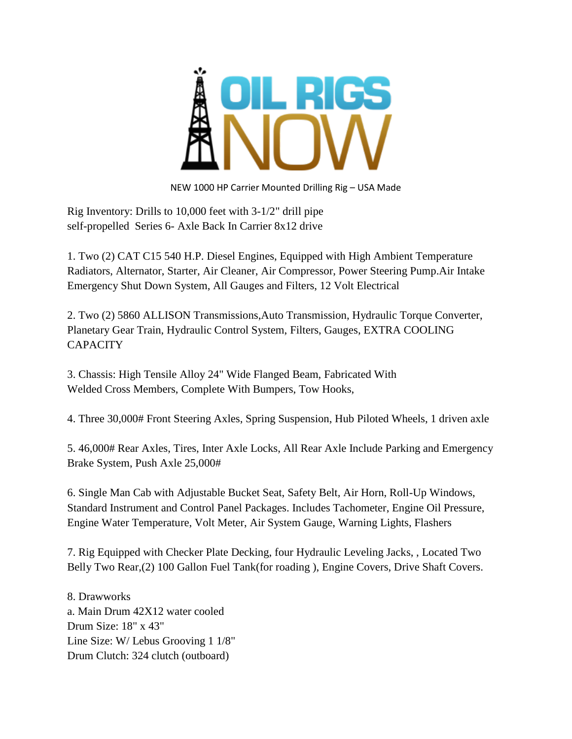

NEW 1000 HP Carrier Mounted Drilling Rig – USA Made

Rig Inventory: Drills to 10,000 feet with 3-1/2" drill pipe self-propelled Series 6- Axle Back In Carrier 8x12 drive

1. Two (2) CAT C15 540 H.P. Diesel Engines, Equipped with High Ambient Temperature Radiators, Alternator, Starter, Air Cleaner, Air Compressor, Power Steering Pump.Air Intake Emergency Shut Down System, All Gauges and Filters, 12 Volt Electrical

2. Two (2) 5860 ALLISON Transmissions,Auto Transmission, Hydraulic Torque Converter, Planetary Gear Train, Hydraulic Control System, Filters, Gauges, EXTRA COOLING **CAPACITY** 

3. Chassis: High Tensile Alloy 24" Wide Flanged Beam, Fabricated With Welded Cross Members, Complete With Bumpers, Tow Hooks,

4. Three 30,000# Front Steering Axles, Spring Suspension, Hub Piloted Wheels, 1 driven axle

5. 46,000# Rear Axles, Tires, Inter Axle Locks, All Rear Axle Include Parking and Emergency Brake System, Push Axle 25,000#

6. Single Man Cab with Adjustable Bucket Seat, Safety Belt, Air Horn, Roll-Up Windows, Standard Instrument and Control Panel Packages. Includes Tachometer, Engine Oil Pressure, Engine Water Temperature, Volt Meter, Air System Gauge, Warning Lights, Flashers

7. Rig Equipped with Checker Plate Decking, four Hydraulic Leveling Jacks, , Located Two Belly Two Rear,(2) 100 Gallon Fuel Tank(for roading ), Engine Covers, Drive Shaft Covers.

8. Drawworks a. Main Drum 42X12 water cooled Drum Size: 18" x 43" Line Size: W/ Lebus Grooving 1 1/8" Drum Clutch: 324 clutch (outboard)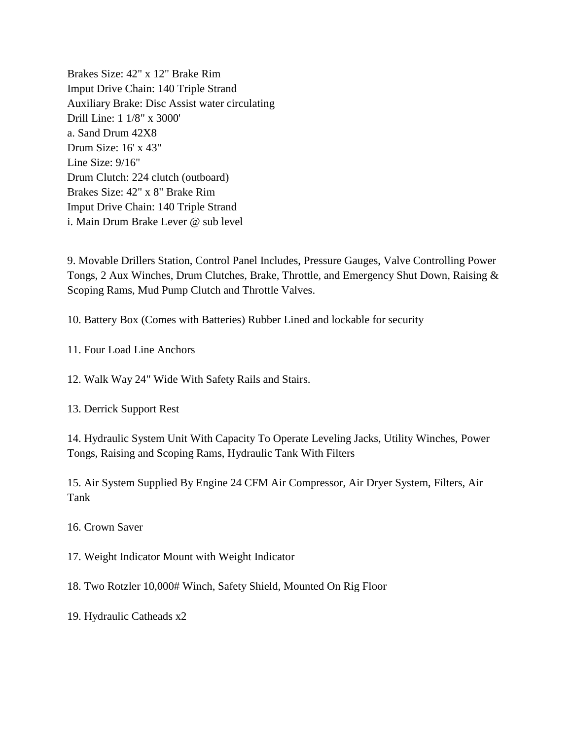Brakes Size: 42" x 12" Brake Rim Imput Drive Chain: 140 Triple Strand Auxiliary Brake: Disc Assist water circulating Drill Line: 1 1/8" x 3000' a. Sand Drum 42X8 Drum Size: 16' x 43" Line Size: 9/16" Drum Clutch: 224 clutch (outboard) Brakes Size: 42" x 8" Brake Rim Imput Drive Chain: 140 Triple Strand i. Main Drum Brake Lever @ sub level

9. Movable Drillers Station, Control Panel Includes, Pressure Gauges, Valve Controlling Power Tongs, 2 Aux Winches, Drum Clutches, Brake, Throttle, and Emergency Shut Down, Raising & Scoping Rams, Mud Pump Clutch and Throttle Valves.

10. Battery Box (Comes with Batteries) Rubber Lined and lockable for security

11. Four Load Line Anchors

12. Walk Way 24" Wide With Safety Rails and Stairs.

13. Derrick Support Rest

14. Hydraulic System Unit With Capacity To Operate Leveling Jacks, Utility Winches, Power Tongs, Raising and Scoping Rams, Hydraulic Tank With Filters

15. Air System Supplied By Engine 24 CFM Air Compressor, Air Dryer System, Filters, Air Tank

16. Crown Saver

17. Weight Indicator Mount with Weight Indicator

18. Two Rotzler 10,000# Winch, Safety Shield, Mounted On Rig Floor

19. Hydraulic Catheads x2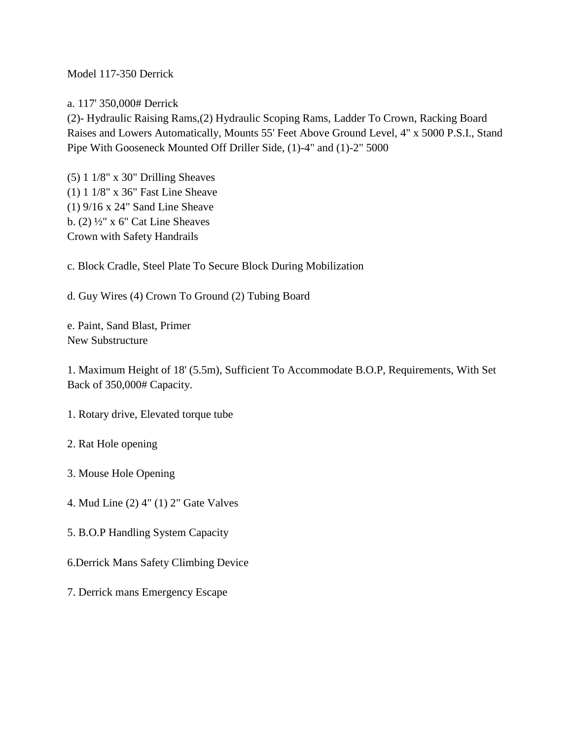### Model 117-350 Derrick

a. 117' 350,000# Derrick

(2)- Hydraulic Raising Rams,(2) Hydraulic Scoping Rams, Ladder To Crown, Racking Board Raises and Lowers Automatically, Mounts 55' Feet Above Ground Level, 4" x 5000 P.S.I., Stand Pipe With Gooseneck Mounted Off Driller Side, (1)-4" and (1)-2" 5000

(5) 1 1/8" x 30" Drilling Sheaves (1) 1 1/8" x 36" Fast Line Sheave (1) 9/16 x 24" Sand Line Sheave b.  $(2)$   $\frac{1}{2}$ " x 6" Cat Line Sheaves Crown with Safety Handrails

c. Block Cradle, Steel Plate To Secure Block During Mobilization

d. Guy Wires (4) Crown To Ground (2) Tubing Board

e. Paint, Sand Blast, Primer New Substructure

1. Maximum Height of 18' (5.5m), Sufficient To Accommodate B.O.P, Requirements, With Set Back of 350,000# Capacity.

- 1. Rotary drive, Elevated torque tube
- 2. Rat Hole opening
- 3. Mouse Hole Opening
- 4. Mud Line (2) 4" (1) 2" Gate Valves
- 5. B.O.P Handling System Capacity
- 6.Derrick Mans Safety Climbing Device
- 7. Derrick mans Emergency Escape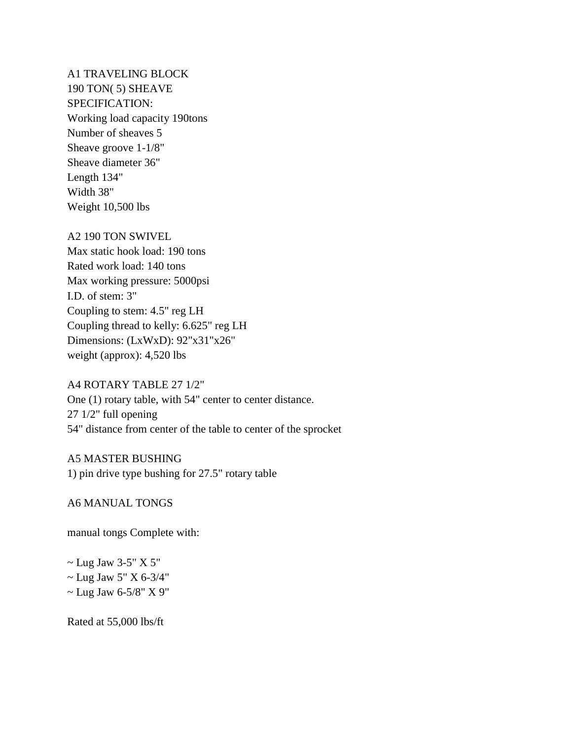A1 TRAVELING BLOCK 190 TON( 5) SHEAVE SPECIFICATION: Working load capacity 190tons Number of sheaves 5 Sheave groove 1-1/8" Sheave diameter 36" Length 134" Width 38" Weight 10,500 lbs

#### A2 190 TON SWIVEL

Max static hook load: 190 tons Rated work load: 140 tons Max working pressure: 5000psi I.D. of stem: 3" Coupling to stem: 4.5" reg LH Coupling thread to kelly: 6.625" reg LH Dimensions: (LxWxD): 92"x31"x26" weight (approx): 4,520 lbs

#### A4 ROTARY TABLE 27 1/2"

One (1) rotary table, with 54" center to center distance. 27 1/2" full opening 54" distance from center of the table to center of the sprocket

A5 MASTER BUSHING 1) pin drive type bushing for 27.5" rotary table

### A6 MANUAL TONGS

manual tongs Complete with:

 $\sim$  Lug Jaw 3-5" X 5"  $\sim$  Lug Jaw 5" X 6-3/4"  $\sim$  Lug Jaw 6-5/8" X 9"

Rated at 55,000 lbs/ft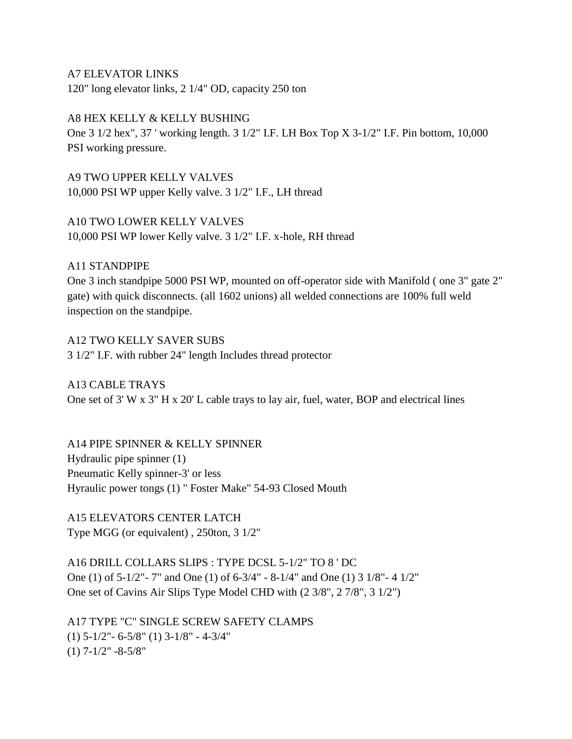A7 ELEVATOR LINKS 120" long elevator links, 2 1/4" OD, capacity 250 ton

A8 HEX KELLY & KELLY BUSHING

One 3 1/2 hex", 37 ' working length. 3 1/2" I.F. LH Box Top X 3-1/2" I.F. Pin bottom, 10,000 PSI working pressure.

A9 TWO UPPER KELLY VALVES 10,000 PSI WP upper Kelly valve. 3 1/2" I.F., LH thread

A10 TWO LOWER KELLY VALVES 10,000 PSI WP lower Kelly valve. 3 1/2" I.F. x-hole, RH thread

A11 STANDPIPE

One 3 inch standpipe 5000 PSI WP, mounted on off-operator side with Manifold ( one 3" gate 2" gate) with quick disconnects. (all 1602 unions) all welded connections are 100% full weld inspection on the standpipe.

A12 TWO KELLY SAVER SUBS 3 1/2" I.F. with rubber 24" length Includes thread protector

A13 CABLE TRAYS One set of 3' W x 3" H x 20' L cable trays to lay air, fuel, water, BOP and electrical lines

A14 PIPE SPINNER & KELLY SPINNER Hydraulic pipe spinner (1) Pneumatic Kelly spinner-3' or less Hyraulic power tongs (1) " Foster Make" 54-93 Closed Mouth

A15 ELEVATORS CENTER LATCH Type MGG (or equivalent) , 250ton, 3 1/2"

A16 DRILL COLLARS SLIPS : TYPE DCSL 5-1/2" TO 8 ' DC One (1) of 5-1/2"- 7" and One (1) of 6-3/4" - 8-1/4" and One (1) 3 1/8"- 4 1/2" One set of Cavins Air Slips Type Model CHD with (2 3/8", 2 7/8", 3 1/2")

A17 TYPE "C" SINGLE SCREW SAFETY CLAMPS (1) 5-1/2"- 6-5/8" (1) 3-1/8" - 4-3/4"  $(1)$  7-1/2" -8-5/8"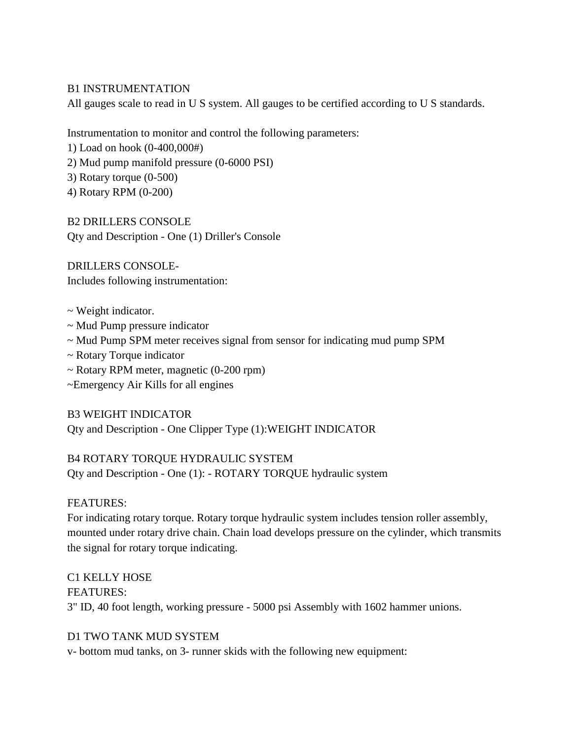#### B1 INSTRUMENTATION

All gauges scale to read in U S system. All gauges to be certified according to U S standards.

Instrumentation to monitor and control the following parameters:

1) Load on hook (0-400,000#)

2) Mud pump manifold pressure (0-6000 PSI)

3) Rotary torque (0-500)

4) Rotary RPM (0-200)

B2 DRILLERS CONSOLE Qty and Description - One (1) Driller's Console

DRILLERS CONSOLE-Includes following instrumentation:

- ~ Weight indicator.
- ~ Mud Pump pressure indicator
- $\sim$  Mud Pump SPM meter receives signal from sensor for indicating mud pump SPM
- ~ Rotary Torque indicator
- $\sim$  Rotary RPM meter, magnetic (0-200 rpm)
- ~Emergency Air Kills for all engines

B3 WEIGHT INDICATOR Qty and Description - One Clipper Type (1):WEIGHT INDICATOR

B4 ROTARY TORQUE HYDRAULIC SYSTEM Qty and Description - One (1): - ROTARY TORQUE hydraulic system

## FEATURES:

For indicating rotary torque. Rotary torque hydraulic system includes tension roller assembly, mounted under rotary drive chain. Chain load develops pressure on the cylinder, which transmits the signal for rotary torque indicating.

C1 KELLY HOSE FEATURES: 3" ID, 40 foot length, working pressure - 5000 psi Assembly with 1602 hammer unions.

## D1 TWO TANK MUD SYSTEM

v- bottom mud tanks, on 3- runner skids with the following new equipment: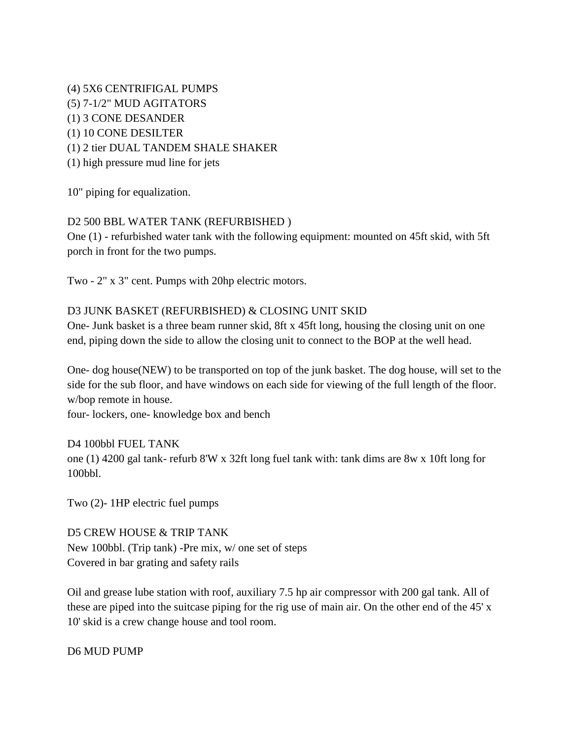(4) 5X6 CENTRIFIGAL PUMPS (5) 7-1/2" MUD AGITATORS (1) 3 CONE DESANDER (1) 10 CONE DESILTER (1) 2 tier DUAL TANDEM SHALE SHAKER (1) high pressure mud line for jets

10" piping for equalization.

# D2 500 BBL WATER TANK (REFURBISHED )

One (1) - refurbished water tank with the following equipment: mounted on 45ft skid, with 5ft porch in front for the two pumps.

Two - 2" x 3" cent. Pumps with 20hp electric motors.

## D3 JUNK BASKET (REFURBISHED) & CLOSING UNIT SKID

One- Junk basket is a three beam runner skid, 8ft x 45ft long, housing the closing unit on one end, piping down the side to allow the closing unit to connect to the BOP at the well head.

One- dog house(NEW) to be transported on top of the junk basket. The dog house, will set to the side for the sub floor, and have windows on each side for viewing of the full length of the floor. w/bop remote in house.

four- lockers, one- knowledge box and bench

D4 100bbl FUEL TANK one (1) 4200 gal tank- refurb 8'W x 32ft long fuel tank with: tank dims are 8w x 10ft long for 100bbl.

Two (2)- 1HP electric fuel pumps

D5 CREW HOUSE & TRIP TANK New 100bbl. (Trip tank) -Pre mix, w/ one set of steps Covered in bar grating and safety rails

Oil and grease lube station with roof, auxiliary 7.5 hp air compressor with 200 gal tank. All of these are piped into the suitcase piping for the rig use of main air. On the other end of the 45' x 10' skid is a crew change house and tool room.

D6 MUD PUMP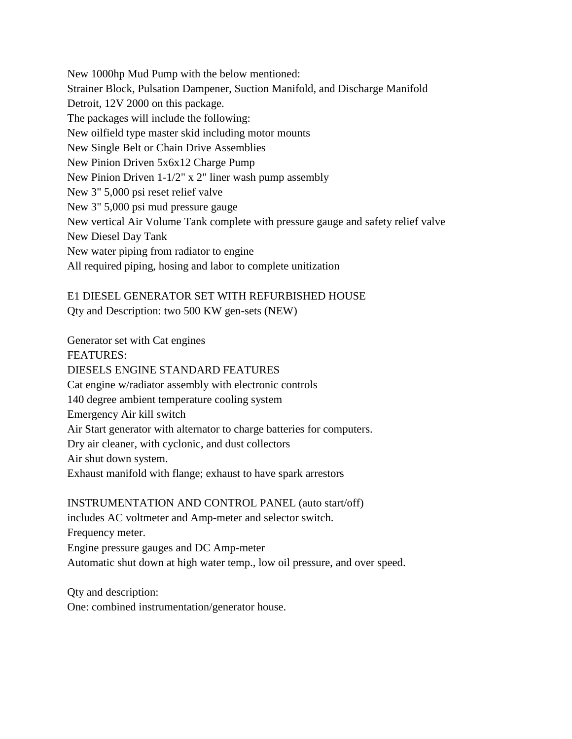New 1000hp Mud Pump with the below mentioned: Strainer Block, Pulsation Dampener, Suction Manifold, and Discharge Manifold Detroit, 12V 2000 on this package. The packages will include the following: New oilfield type master skid including motor mounts New Single Belt or Chain Drive Assemblies New Pinion Driven 5x6x12 Charge Pump New Pinion Driven 1-1/2" x 2" liner wash pump assembly New 3" 5,000 psi reset relief valve New 3" 5,000 psi mud pressure gauge New vertical Air Volume Tank complete with pressure gauge and safety relief valve New Diesel Day Tank New water piping from radiator to engine All required piping, hosing and labor to complete unitization

# E1 DIESEL GENERATOR SET WITH REFURBISHED HOUSE Qty and Description: two 500 KW gen-sets (NEW)

Generator set with Cat engines FEATURES: DIESELS ENGINE STANDARD FEATURES Cat engine w/radiator assembly with electronic controls 140 degree ambient temperature cooling system Emergency Air kill switch Air Start generator with alternator to charge batteries for computers. Dry air cleaner, with cyclonic, and dust collectors Air shut down system. Exhaust manifold with flange; exhaust to have spark arrestors

INSTRUMENTATION AND CONTROL PANEL (auto start/off) includes AC voltmeter and Amp-meter and selector switch. Frequency meter. Engine pressure gauges and DC Amp-meter Automatic shut down at high water temp., low oil pressure, and over speed.

Qty and description: One: combined instrumentation/generator house.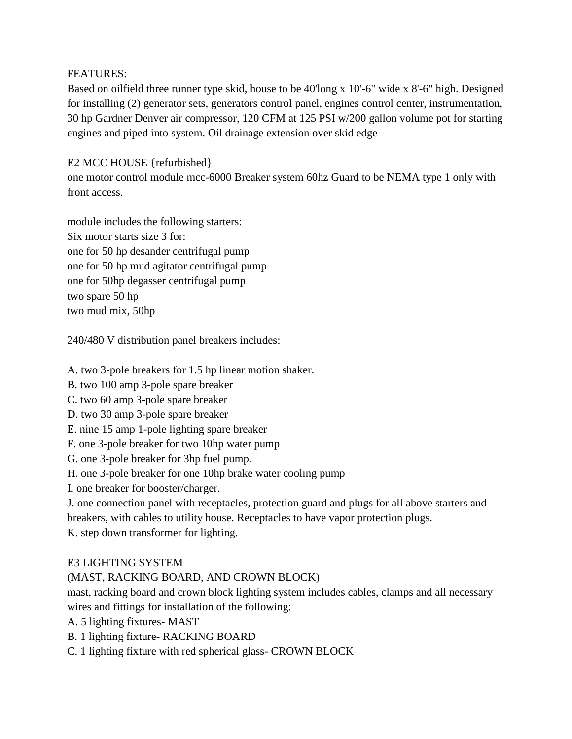## FEATURES:

Based on oilfield three runner type skid, house to be 40'long x 10'-6" wide x 8'-6" high. Designed for installing (2) generator sets, generators control panel, engines control center, instrumentation, 30 hp Gardner Denver air compressor, 120 CFM at 125 PSI w/200 gallon volume pot for starting engines and piped into system. Oil drainage extension over skid edge

# E2 MCC HOUSE {refurbished}

one motor control module mcc-6000 Breaker system 60hz Guard to be NEMA type 1 only with front access.

module includes the following starters: Six motor starts size 3 for: one for 50 hp desander centrifugal pump one for 50 hp mud agitator centrifugal pump one for 50hp degasser centrifugal pump two spare 50 hp two mud mix, 50hp

240/480 V distribution panel breakers includes:

A. two 3-pole breakers for 1.5 hp linear motion shaker.

B. two 100 amp 3-pole spare breaker

C. two 60 amp 3-pole spare breaker

- D. two 30 amp 3-pole spare breaker
- E. nine 15 amp 1-pole lighting spare breaker

F. one 3-pole breaker for two 10hp water pump

G. one 3-pole breaker for 3hp fuel pump.

H. one 3-pole breaker for one 10hp brake water cooling pump

I. one breaker for booster/charger.

J. one connection panel with receptacles, protection guard and plugs for all above starters and breakers, with cables to utility house. Receptacles to have vapor protection plugs.

K. step down transformer for lighting.

# E3 LIGHTING SYSTEM

# (MAST, RACKING BOARD, AND CROWN BLOCK)

mast, racking board and crown block lighting system includes cables, clamps and all necessary wires and fittings for installation of the following:

A. 5 lighting fixtures- MAST

B. 1 lighting fixture- RACKING BOARD

C. 1 lighting fixture with red spherical glass- CROWN BLOCK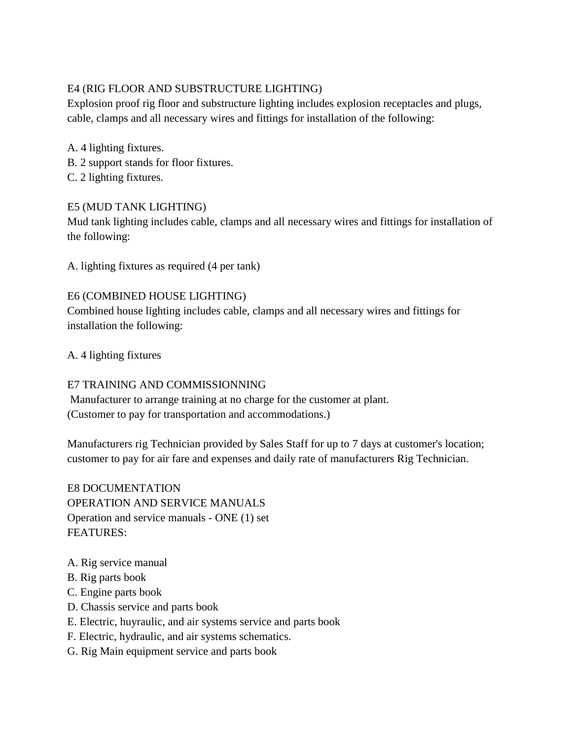# E4 (RIG FLOOR AND SUBSTRUCTURE LIGHTING)

Explosion proof rig floor and substructure lighting includes explosion receptacles and plugs, cable, clamps and all necessary wires and fittings for installation of the following:

- A. 4 lighting fixtures.
- B. 2 support stands for floor fixtures.
- C. 2 lighting fixtures.

## E5 (MUD TANK LIGHTING)

Mud tank lighting includes cable, clamps and all necessary wires and fittings for installation of the following:

A. lighting fixtures as required (4 per tank)

## E6 (COMBINED HOUSE LIGHTING)

Combined house lighting includes cable, clamps and all necessary wires and fittings for installation the following:

A. 4 lighting fixtures

## E7 TRAINING AND COMMISSIONNING

Manufacturer to arrange training at no charge for the customer at plant. (Customer to pay for transportation and accommodations.)

Manufacturers rig Technician provided by Sales Staff for up to 7 days at customer's location; customer to pay for air fare and expenses and daily rate of manufacturers Rig Technician.

E8 DOCUMENTATION OPERATION AND SERVICE MANUALS Operation and service manuals - ONE (1) set FEATURES:

- A. Rig service manual
- B. Rig parts book
- C. Engine parts book
- D. Chassis service and parts book
- E. Electric, huyraulic, and air systems service and parts book
- F. Electric, hydraulic, and air systems schematics.
- G. Rig Main equipment service and parts book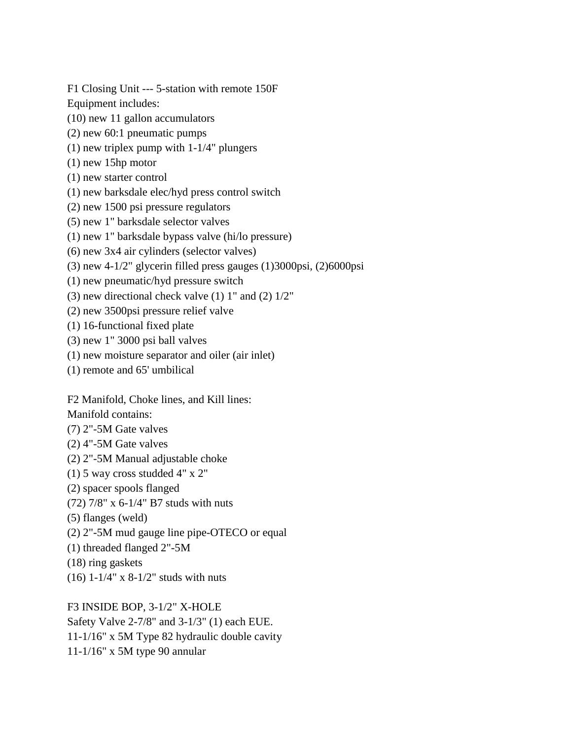F1 Closing Unit --- 5-station with remote 150F

Equipment includes:

- (10) new 11 gallon accumulators
- (2) new 60:1 pneumatic pumps
- (1) new triplex pump with 1-1/4" plungers
- (1) new 15hp motor
- (1) new starter control
- (1) new barksdale elec/hyd press control switch
- (2) new 1500 psi pressure regulators
- (5) new 1" barksdale selector valves
- (1) new 1" barksdale bypass valve (hi/lo pressure)
- (6) new 3x4 air cylinders (selector valves)
- (3) new  $4-1/2$ " glycerin filled press gauges  $(1)3000\pi$ si,  $(2)6000\pi$ si
- (1) new pneumatic/hyd pressure switch
- (3) new directional check valve  $(1)$  1" and  $(2)$  1/2"
- (2) new 3500psi pressure relief valve
- (1) 16-functional fixed plate
- (3) new 1" 3000 psi ball valves
- (1) new moisture separator and oiler (air inlet)
- (1) remote and 65' umbilical

F2 Manifold, Choke lines, and Kill lines:

Manifold contains:

- (7) 2"-5M Gate valves
- (2) 4"-5M Gate valves
- (2) 2"-5M Manual adjustable choke
- (1) 5 way cross studded 4" x 2"
- (2) spacer spools flanged
- (72) 7/8" x 6-1/4" B7 studs with nuts
- (5) flanges (weld)
- (2) 2"-5M mud gauge line pipe-OTECO or equal
- (1) threaded flanged 2"-5M
- (18) ring gaskets
- (16) 1-1/4" x 8-1/2" studs with nuts

F3 INSIDE BOP, 3-1/2" X-HOLE

Safety Valve 2-7/8" and 3-1/3" (1) each EUE. 11-1/16" x 5M Type 82 hydraulic double cavity

11-1/16" x 5M type 90 annular